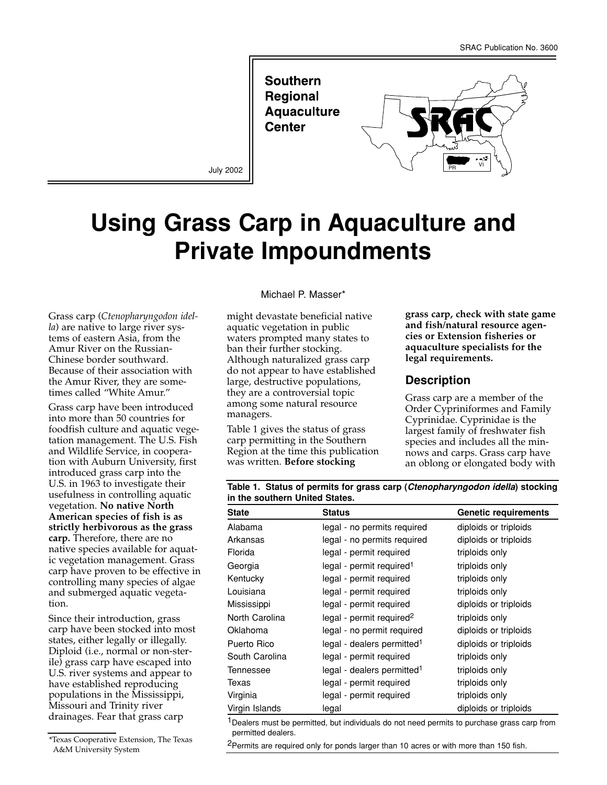**Southern Regional Aquaculture Center** 



# **Using Grass Carp in Aquaculture and Private Impoundments**

Grass carp (*Ctenopharyngodon idella*) are native to large river systems of eastern Asia, from the Amur River on the Russian-Chinese border southward. Because of their association with the Amur River, they are sometimes called "White Amur."

Grass carp have been introduced into more than 50 countries for foodfish culture and aquatic vegetation management. The U.S. Fish and Wildlife Service, in cooperation with Auburn University, first introduced grass carp into the U.S. in 1963 to investigate their usefulness in controlling aquatic vegetation. **No native North American species of fish is as strictly herbivorous as the grass carp.** Therefore, there are no native species available for aquatic vegetation management. Grass carp have proven to be effective in controlling many species of algae and submerged aquatic vegetation.

Since their introduction, grass carp have been stocked into most states, either legally or illegally. Diploid (i.e., normal or non-sterile) grass carp have escaped into U.S. river systems and appear to have established reproducing populations in the Mississippi, Missouri and Trinity river drainages. Fear that grass carp

#### Michael P. Masser\*

might devastate beneficial native aquatic vegetation in public waters prompted many states to ban their further stocking. Although naturalized grass carp do not appear to have established large, destructive populations, they are a controversial topic among some natural resource managers.

Table 1 gives the status of grass carp permitting in the Southern Region at the time this publication was written. **Before stocking**

**grass carp, check with state game and fish/natural resource agencies or Extension fisheries or aquaculture specialists for the legal requirements.**

#### **Description**

Grass carp are a member of the Order Cypriniformes and Family Cyprinidae. Cyprinidae is the largest family of freshwater fish species and includes all the minnows and carps. Grass carp have an oblong or elongated body with

**Table 1. Status of permits for grass carp (***Ctenopharyngodon idella***) stocking in the southern United States.**

| <b>State</b>   | <b>Status</b>                          | <b>Genetic requirements</b> |  |
|----------------|----------------------------------------|-----------------------------|--|
| Alabama        | legal - no permits required            | diploids or triploids       |  |
| Arkansas       | legal - no permits required            | diploids or triploids       |  |
| Florida        | legal - permit required                | triploids only              |  |
| Georgia        | legal - permit required <sup>1</sup>   | triploids only              |  |
| Kentucky       | legal - permit required                | triploids only              |  |
| Louisiana      | legal - permit required                | triploids only              |  |
| Mississippi    | legal - permit required                | diploids or triploids       |  |
| North Carolina | legal - permit required <sup>2</sup>   | triploids only              |  |
| Oklahoma       | legal - no permit required             | diploids or triploids       |  |
| Puerto Rico    | legal - dealers permitted <sup>1</sup> | diploids or triploids       |  |
| South Carolina | legal - permit required                | triploids only              |  |
| Tennessee      | legal - dealers permitted <sup>1</sup> | triploids only              |  |
| Texas          | legal - permit required                | triploids only              |  |
| Virginia       | legal - permit required                | triploids only              |  |
| Virgin Islands | legal                                  | diploids or triploids       |  |

<sup>1</sup>Dealers must be permitted, but individuals do not need permits to purchase grass carp from permitted dealers.

<sup>2</sup>Permits are required only for ponds larger than 10 acres or with more than 150 fish.

<sup>\*</sup>Texas Cooperative Extension, The Texas A&M University System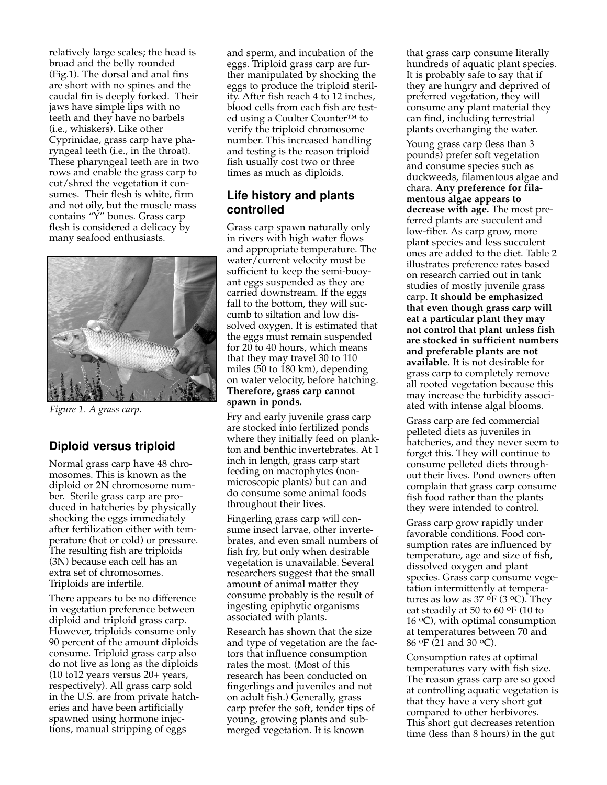relatively large scales; the head is broad and the belly rounded (Fig.1). The dorsal and anal fins are short with no spines and the caudal fin is deeply forked. Their jaws have simple lips with no teeth and they have no barbels (i.e., whiskers). Like other Cyprinidae, grass carp have pharyngeal teeth (i.e., in the throat). These pharyngeal teeth are in two rows and enable the grass carp to cut/shred the vegetation it consumes. Their flesh is white, firm and not oily, but the muscle mass contains "Y" bones. Grass carp flesh is considered a delicacy by many seafood enthusiasts.



*Figure 1. A grass carp.*

## **Diploid versus triploid**

Normal grass carp have 48 chromosomes. This is known as the diploid or 2N chromosome number. Sterile grass carp are produced in hatcheries by physically shocking the eggs immediately after fertilization either with temperature (hot or cold) or pressure. The resulting fish are triploids (3N) because each cell has an extra set of chromosomes. Triploids are infertile.

There appears to be no difference in vegetation preference between diploid and triploid grass carp. However, triploids consume only 90 percent of the amount diploids consume. Triploid grass carp also do not live as long as the diploids (10 to12 years versus 20+ years, respectively). All grass carp sold in the U.S. are from private hatcheries and have been artificially spawned using hormone injections, manual stripping of eggs

and sperm, and incubation of the eggs. Triploid grass carp are further manipulated by shocking the eggs to produce the triploid sterility. After fish reach 4 to 12 inches, blood cells from each fish are tested using a Coulter Counter™ to verify the triploid chromosome number. This increased handling and testing is the reason triploid fish usually cost two or three times as much as diploids.

## **Life history and plants controlled**

Grass carp spawn naturally only in rivers with high water flows and appropriate temperature. The water/current velocity must be sufficient to keep the semi-buoyant eggs suspended as they are carried downstream. If the eggs fall to the bottom, they will succumb to siltation and low dissolved oxygen. It is estimated that the eggs must remain suspended for 20 to 40 hours, which means that they may travel 30 to 110 miles (50 to 180 km), depending on water velocity, before hatching. **Therefore, grass carp cannot spawn in ponds.**

Fry and early juvenile grass carp are stocked into fertilized ponds where they initially feed on plankton and benthic invertebrates. At 1 inch in length, grass carp start feeding on macrophytes (nonmicroscopic plants) but can and do consume some animal foods throughout their lives.

Fingerling grass carp will consume insect larvae, other invertebrates, and even small numbers of fish fry, but only when desirable vegetation is unavailable. Several researchers suggest that the small amount of animal matter they consume probably is the result of ingesting epiphytic organisms associated with plants.

Research has shown that the size and type of vegetation are the factors that influence consumption rates the most. (Most of this research has been conducted on fingerlings and juveniles and not on adult fish.) Generally, grass carp prefer the soft, tender tips of young, growing plants and submerged vegetation. It is known

that grass carp consume literally hundreds of aquatic plant species. It is probably safe to say that if they are hungry and deprived of preferred vegetation, they will consume any plant material they can find, including terrestrial plants overhanging the water.

Young grass carp (less than 3 pounds) prefer soft vegetation and consume species such as duckweeds, filamentous algae and chara. **Any preference for filamentous algae appears to decrease with age.** The most preferred plants are succulent and low-fiber. As carp grow, more plant species and less succulent ones are added to the diet. Table 2 illustrates preference rates based on research carried out in tank studies of mostly juvenile grass carp. **It should be emphasized that even though grass carp will eat a particular plant they may not control that plant unless fish are stocked in sufficient numbers and preferable plants are not available.** It is not desirable for grass carp to completely remove all rooted vegetation because this may increase the turbidity associated with intense algal blooms.

Grass carp are fed commercial pelleted diets as juveniles in hatcheries, and they never seem to forget this. They will continue to consume pelleted diets throughout their lives. Pond owners often complain that grass carp consume fish food rather than the plants they were intended to control.

Grass carp grow rapidly under favorable conditions. Food consumption rates are influenced by temperature, age and size of fish, dissolved oxygen and plant species. Grass carp consume vegetation intermittently at temperatures as low as  $37 \text{°F}$  (3 °C). They eat steadily at 50 to 60 oF (10 to 16  $\degree$ C), with optimal consumption at temperatures between 70 and 86 oF (21 and 30 oC).

Consumption rates at optimal temperatures vary with fish size. The reason grass carp are so good at controlling aquatic vegetation is that they have a very short gut compared to other herbivores. This short gut decreases retention time (less than 8 hours) in the gut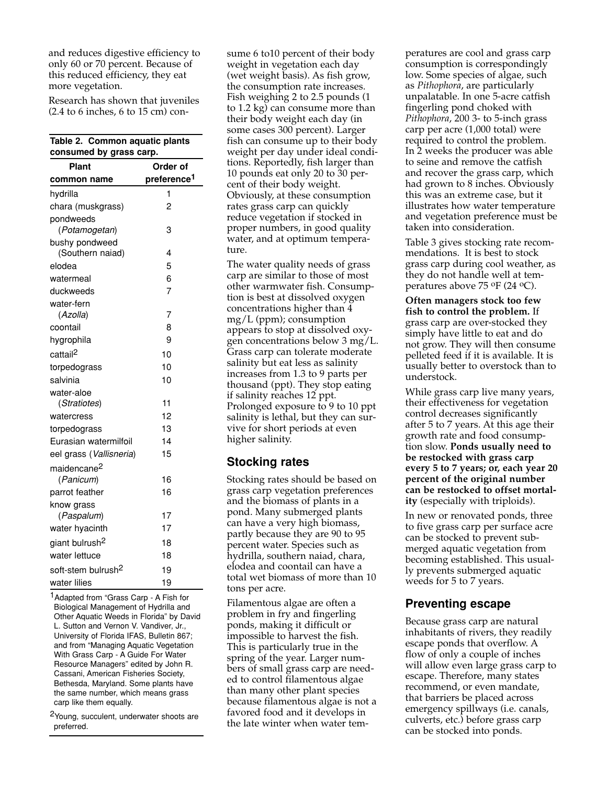and reduces digestive efficiency to only 60 or 70 percent. Because of this reduced efficiency, they eat more vegetation.

Research has shown that juveniles (2.4 to 6 inches, 6 to 15 cm) con-

#### **Table 2. Common aquatic plants consumed by grass carp.**

| Plant                          | Order of                |  |
|--------------------------------|-------------------------|--|
| common name                    | preference <sup>1</sup> |  |
| hydrilla                       | 1                       |  |
| chara (muskgrass)              | 2                       |  |
| pondweeds                      |                         |  |
| (Potamogetan)                  | 3                       |  |
| bushy pondweed                 |                         |  |
| (Southern naiad)               | 4<br>5                  |  |
| elodea<br>watermeal            | 6                       |  |
| duckweeds                      | 7                       |  |
| water-fern                     |                         |  |
| (Azolla)                       | 7                       |  |
| coontail                       | 8                       |  |
| hygrophila                     | 9                       |  |
| cattail <sup>2</sup>           | 10                      |  |
| torpedograss                   | 10                      |  |
| salvinia                       | 10                      |  |
| water-aloe                     |                         |  |
| (Stratiotes)                   | 11                      |  |
| watercress                     | 12                      |  |
| torpedograss                   | 13                      |  |
| Eurasian watermilfoil          | 14                      |  |
| eel grass (Vallisneria)        | 15                      |  |
| maidencane <sup>2</sup>        |                         |  |
| (Panicum)                      | 16                      |  |
| parrot feather                 | 16                      |  |
| know grass<br>(Paspalum)       | 17                      |  |
| water hyacinth                 | 17                      |  |
| giant bulrush <sup>2</sup>     | 18                      |  |
| water lettuce                  | 18                      |  |
| soft-stem bulrush <sup>2</sup> | 19                      |  |
| water lilies                   | 19                      |  |

<sup>1</sup> Adapted from "Grass Carp - A Fish for Biological Management of Hydrilla and Other Aquatic Weeds in Florida" by David L. Sutton and Vernon V. Vandiver, Jr., University of Florida IFAS, Bulletin 867; and from "Managing Aquatic Vegetation With Grass Carp - A Guide For Water Resource Managers" edited by John R. Cassani, American Fisheries Society, Bethesda, Maryland. Some plants have the same number, which means grass carp like them equally.

<sup>2</sup>Young, succulent, underwater shoots are preferred.

sume 6 to10 percent of their body weight in vegetation each day (wet weight basis). As fish grow, the consumption rate increases. Fish weighing 2 to 2.5 pounds (1 to 1.2 kg) can consume more than their body weight each day (in some cases 300 percent). Larger fish can consume up to their body weight per day under ideal conditions. Reportedly, fish larger than 10 pounds eat only 20 to 30 percent of their body weight. Obviously, at these consumption rates grass carp can quickly reduce vegetation if stocked in proper numbers, in good quality water, and at optimum temperature.

The water quality needs of grass carp are similar to those of most other warmwater fish. Consumption is best at dissolved oxygen concentrations higher than 4 mg/L (ppm); consumption appears to stop at dissolved oxygen concentrations below 3 mg/L. Grass carp can tolerate moderate salinity but eat less as salinity increases from 1.3 to 9 parts per thousand (ppt). They stop eating if salinity reaches 12 ppt. Prolonged exposure to 9 to 10 ppt salinity is lethal, but they can survive for short periods at even higher salinity.

### **Stocking rates**

Stocking rates should be based on grass carp vegetation preferences and the biomass of plants in a pond. Many submerged plants can have a very high biomass, partly because they are 90 to 95 percent water. Species such as hydrilla, southern naiad, chara, elodea and coontail can have a total wet biomass of more than 10 tons per acre.

Filamentous algae are often a problem in fry and fingerling ponds, making it difficult or impossible to harvest the fish. This is particularly true in the spring of the year. Larger numbers of small grass carp are needed to control filamentous algae than many other plant species because filamentous algae is not a favored food and it develops in the late winter when water temperatures are cool and grass carp consumption is correspondingly low. Some species of algae, such as *Pithophora*, are particularly unpalatable. In one 5-acre catfish fingerling pond choked with *Pithophora*, 200 3- to 5-inch grass carp per acre (1,000 total) were required to control the problem. In 2 weeks the producer was able to seine and remove the catfish and recover the grass carp, which had grown to 8 inches. Obviously this was an extreme case, but it illustrates how water temperature and vegetation preference must be taken into consideration.

Table 3 gives stocking rate recommendations. It is best to stock grass carp during cool weather, as they do not handle well at temperatures above 75 oF (24 oC).

**Often managers stock too few fish to control the problem.** If grass carp are over-stocked they simply have little to eat and do not grow. They will then consume pelleted feed if it is available. It is usually better to overstock than to understock.

While grass carp live many years, their effectiveness for vegetation control decreases significantly after 5 to 7 years. At this age their growth rate and food consumption slow. **Ponds usually need to be restocked with grass carp every 5 to 7 years; or, each year 20 percent of the original number can be restocked to offset mortality** (especially with triploids).

In new or renovated ponds, three to five grass carp per surface acre can be stocked to prevent submerged aquatic vegetation from becoming established. This usually prevents submerged aquatic weeds for 5 to 7 years.

### **Preventing escape**

Because grass carp are natural inhabitants of rivers, they readily escape ponds that overflow. A flow of only a couple of inches will allow even large grass carp to escape. Therefore, many states recommend, or even mandate, that barriers be placed across emergency spillways (i.e. canals, culverts, etc.) before grass carp can be stocked into ponds.